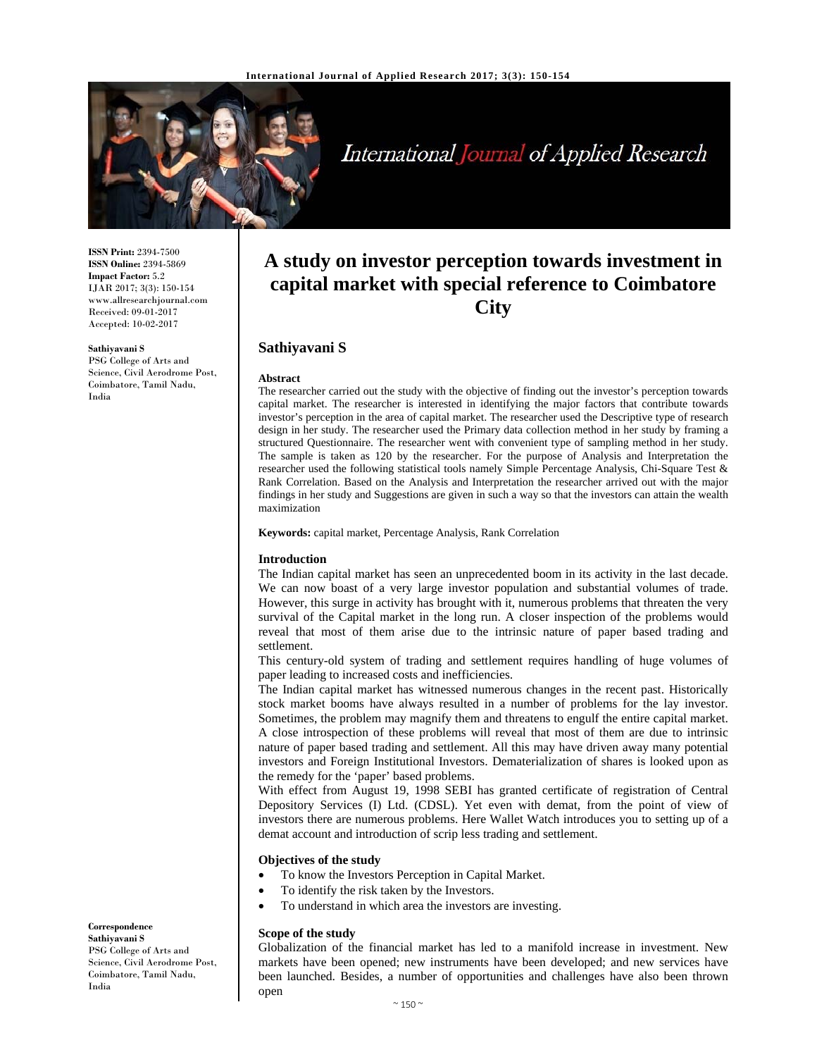

# International Journal of Applied Research

**ISSN Print:** 2394-7500 **ISSN Online:** 2394-5869 **Impact Factor:** 5.2 IJAR 2017; 3(3): 150-154 www.allresearchjournal.com Received: 09-01-2017 Accepted: 10-02-2017

#### **Sathiyavani S**

PSG College of Arts and Science, Civil Aerodrome Post, Coimbatore, Tamil Nadu, India

# **A study on investor perception towards investment in capital market with special reference to Coimbatore City**

# **Sathiyavani S**

#### **Abstract**

The researcher carried out the study with the objective of finding out the investor's perception towards capital market. The researcher is interested in identifying the major factors that contribute towards investor's perception in the area of capital market. The researcher used the Descriptive type of research design in her study. The researcher used the Primary data collection method in her study by framing a structured Questionnaire. The researcher went with convenient type of sampling method in her study. The sample is taken as 120 by the researcher. For the purpose of Analysis and Interpretation the researcher used the following statistical tools namely Simple Percentage Analysis, Chi-Square Test & Rank Correlation. Based on the Analysis and Interpretation the researcher arrived out with the major findings in her study and Suggestions are given in such a way so that the investors can attain the wealth maximization

#### **Keywords:** capital market, Percentage Analysis, Rank Correlation

#### **Introduction**

The Indian capital market has seen an unprecedented boom in its activity in the last decade. We can now boast of a very large investor population and substantial volumes of trade. However, this surge in activity has brought with it, numerous problems that threaten the very survival of the Capital market in the long run. A closer inspection of the problems would reveal that most of them arise due to the intrinsic nature of paper based trading and settlement.

This century-old system of trading and settlement requires handling of huge volumes of paper leading to increased costs and inefficiencies.

The Indian capital market has witnessed numerous changes in the recent past. Historically stock market booms have always resulted in a number of problems for the lay investor. Sometimes, the problem may magnify them and threatens to engulf the entire capital market. A close introspection of these problems will reveal that most of them are due to intrinsic nature of paper based trading and settlement. All this may have driven away many potential investors and Foreign Institutional Investors. Dematerialization of shares is looked upon as the remedy for the 'paper' based problems.

With effect from August 19, 1998 SEBI has granted certificate of registration of Central Depository Services (I) Ltd. (CDSL). Yet even with demat, from the point of view of investors there are numerous problems. Here Wallet Watch introduces you to setting up of a demat account and introduction of scrip less trading and settlement.

# **Objectives of the study**

- To know the Investors Perception in Capital Market.
- To identify the risk taken by the Investors.
- To understand in which area the investors are investing.

#### **Scope of the study**

Globalization of the financial market has led to a manifold increase in investment. New markets have been opened; new instruments have been developed; and new services have been launched. Besides, a number of opportunities and challenges have also been thrown open

**Correspondence Sathiyavani S**  PSG College of Arts and Science, Civil Aerodrome Post, Coimbatore, Tamil Nadu, India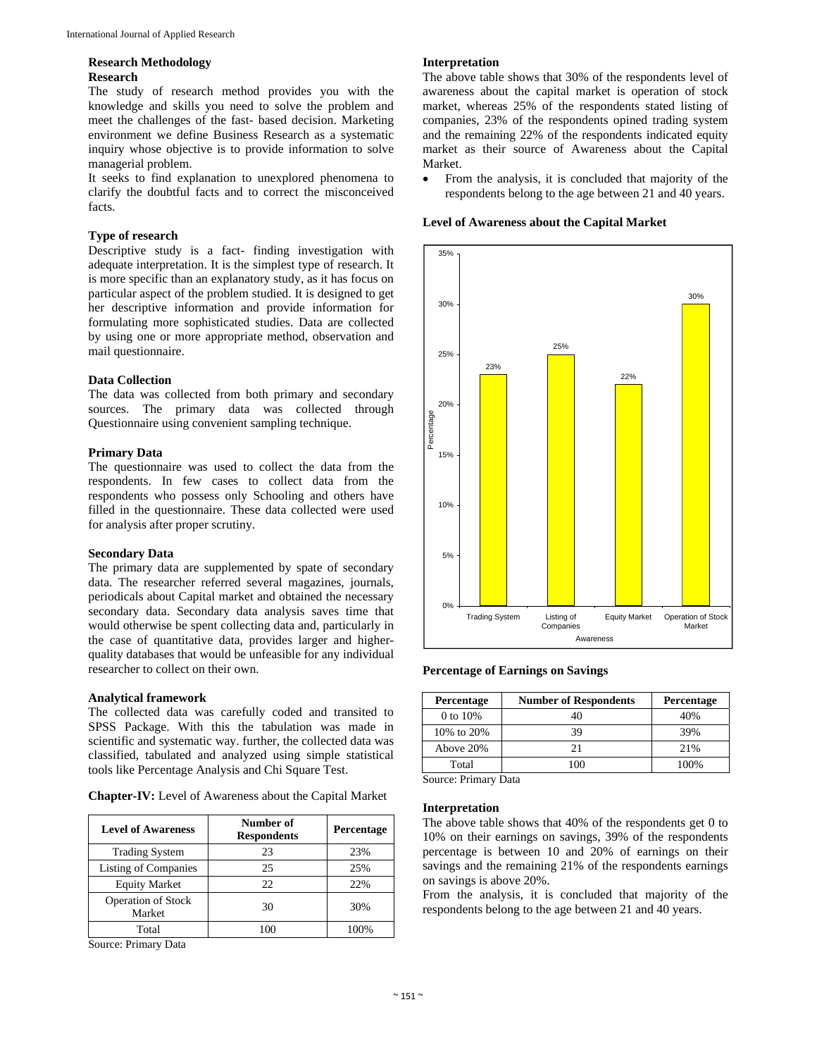#### **Research Methodology Research**

The study of research method provides you with the knowledge and skills you need to solve the problem and meet the challenges of the fast- based decision. Marketing environment we define Business Research as a systematic inquiry whose objective is to provide information to solve managerial problem.

It seeks to find explanation to unexplored phenomena to clarify the doubtful facts and to correct the misconceived facts.

### **Type of research**

Descriptive study is a fact- finding investigation with adequate interpretation. It is the simplest type of research. It is more specific than an explanatory study, as it has focus on particular aspect of the problem studied. It is designed to get her descriptive information and provide information for formulating more sophisticated studies. Data are collected by using one or more appropriate method, observation and mail questionnaire.

### **Data Collection**

The data was collected from both primary and secondary sources. The primary data was collected through Questionnaire using convenient sampling technique.

### **Primary Data**

The questionnaire was used to collect the data from the respondents. In few cases to collect data from the respondents who possess only Schooling and others have filled in the questionnaire. These data collected were used for analysis after proper scrutiny.

#### **Secondary Data**

The primary data are supplemented by spate of secondary data. The researcher referred several magazines, journals, periodicals about Capital market and obtained the necessary secondary data. Secondary data analysis saves time that would otherwise be spent collecting data and, particularly in the case of quantitative data, provides larger and higherquality databases that would be unfeasible for any individual researcher to collect on their own.

#### **Analytical framework**

The collected data was carefully coded and transited to SPSS Package. With this the tabulation was made in scientific and systematic way. further, the collected data was classified, tabulated and analyzed using simple statistical tools like Percentage Analysis and Chi Square Test.

**Chapter-IV:** Level of Awareness about the Capital Market

| <b>Level of Awareness</b>           | Number of<br><b>Respondents</b> | Percentage |
|-------------------------------------|---------------------------------|------------|
| <b>Trading System</b>               | 23                              | 23%        |
| <b>Listing of Companies</b>         | 25                              | 25%        |
| <b>Equity Market</b>                | 22                              | 22%        |
| <b>Operation of Stock</b><br>Market | 30                              | 30%        |
| Total                               | 100                             | 100%       |

Source: Primary Data

#### **Interpretation**

The above table shows that 30% of the respondents level of awareness about the capital market is operation of stock market, whereas 25% of the respondents stated listing of companies, 23% of the respondents opined trading system and the remaining 22% of the respondents indicated equity market as their source of Awareness about the Capital Market.

 From the analysis, it is concluded that majority of the respondents belong to the age between 21 and 40 years.

**Level of Awareness about the Capital Market** 



#### **Percentage of Earnings on Savings**

| Percentage   | <b>Number of Respondents</b> | Percentage |
|--------------|------------------------------|------------|
| 0 to 10%     |                              | 40%        |
| 10\% to 20\% | 39                           | 39%        |
| Above 20%    |                              | 21%        |
| Total        | ഥവ                           | 100%       |

Source: Primary Data

# **Interpretation**

The above table shows that 40% of the respondents get 0 to 10% on their earnings on savings, 39% of the respondents percentage is between 10 and 20% of earnings on their savings and the remaining 21% of the respondents earnings on savings is above 20%.

From the analysis, it is concluded that majority of the respondents belong to the age between 21 and 40 years.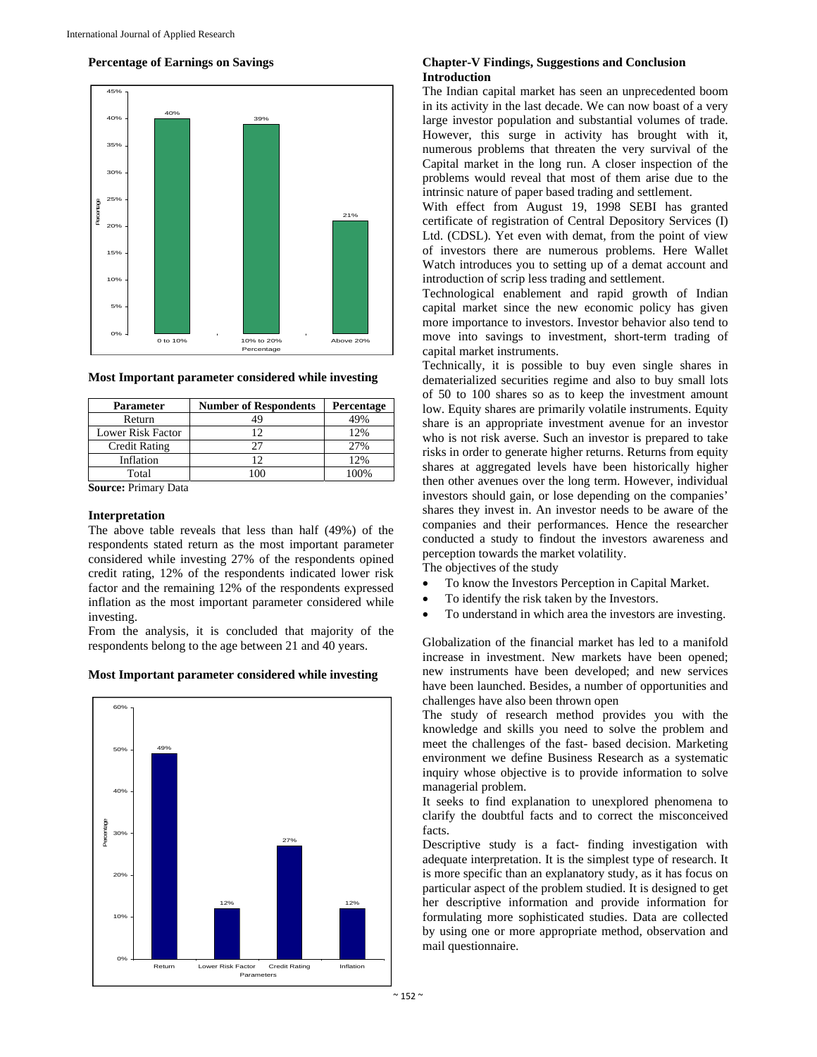#### **Percentage of Earnings on Savings**



# **Most Important parameter considered while investing**

| <b>Parameter</b>     | <b>Number of Respondents</b> | Percentage |
|----------------------|------------------------------|------------|
| Return               |                              | 49%        |
| Lower Risk Factor    |                              | 12%        |
| <b>Credit Rating</b> |                              | 27%        |
| Inflation            |                              | 12%        |
| Total                |                              | 00%        |

**Source:** Primary Data

#### **Interpretation**

The above table reveals that less than half (49%) of the respondents stated return as the most important parameter considered while investing 27% of the respondents opined credit rating, 12% of the respondents indicated lower risk factor and the remaining 12% of the respondents expressed inflation as the most important parameter considered while investing.

From the analysis, it is concluded that majority of the respondents belong to the age between 21 and 40 years.

#### **Most Important parameter considered while investing**



#### **Chapter-V Findings, Suggestions and Conclusion Introduction**

The Indian capital market has seen an unprecedented boom in its activity in the last decade. We can now boast of a very large investor population and substantial volumes of trade. However, this surge in activity has brought with it, numerous problems that threaten the very survival of the Capital market in the long run. A closer inspection of the problems would reveal that most of them arise due to the intrinsic nature of paper based trading and settlement.

With effect from August 19, 1998 SEBI has granted certificate of registration of Central Depository Services (I) Ltd. (CDSL). Yet even with demat, from the point of view of investors there are numerous problems. Here Wallet Watch introduces you to setting up of a demat account and introduction of scrip less trading and settlement.

Technological enablement and rapid growth of Indian capital market since the new economic policy has given more importance to investors. Investor behavior also tend to move into savings to investment, short-term trading of capital market instruments.

Technically, it is possible to buy even single shares in dematerialized securities regime and also to buy small lots of 50 to 100 shares so as to keep the investment amount low. Equity shares are primarily volatile instruments. Equity share is an appropriate investment avenue for an investor who is not risk averse. Such an investor is prepared to take risks in order to generate higher returns. Returns from equity shares at aggregated levels have been historically higher then other avenues over the long term. However, individual investors should gain, or lose depending on the companies' shares they invest in. An investor needs to be aware of the companies and their performances. Hence the researcher conducted a study to findout the investors awareness and perception towards the market volatility.

The objectives of the study

- To know the Investors Perception in Capital Market.
- To identify the risk taken by the Investors.
- To understand in which area the investors are investing.

Globalization of the financial market has led to a manifold increase in investment. New markets have been opened; new instruments have been developed; and new services have been launched. Besides, a number of opportunities and challenges have also been thrown open

The study of research method provides you with the knowledge and skills you need to solve the problem and meet the challenges of the fast- based decision. Marketing environment we define Business Research as a systematic inquiry whose objective is to provide information to solve managerial problem.

It seeks to find explanation to unexplored phenomena to clarify the doubtful facts and to correct the misconceived facts.

Descriptive study is a fact- finding investigation with adequate interpretation. It is the simplest type of research. It is more specific than an explanatory study, as it has focus on particular aspect of the problem studied. It is designed to get her descriptive information and provide information for formulating more sophisticated studies. Data are collected by using one or more appropriate method, observation and mail questionnaire.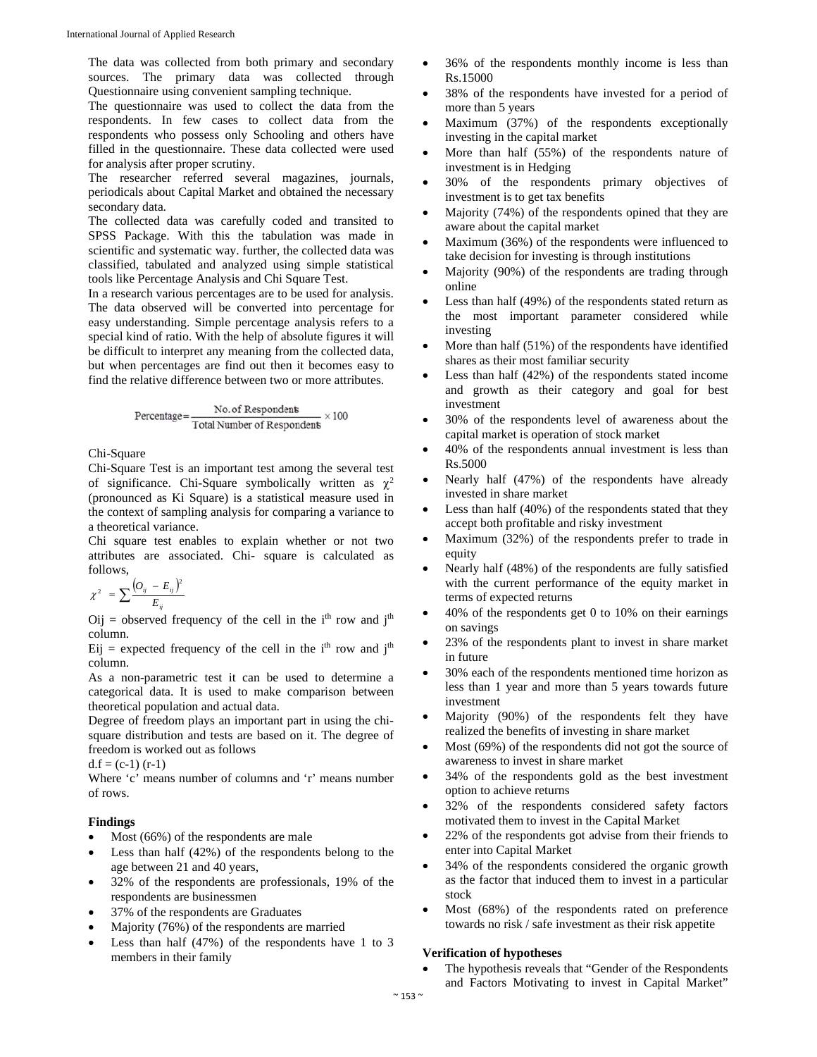The data was collected from both primary and secondary sources. The primary data was collected through Questionnaire using convenient sampling technique.

The questionnaire was used to collect the data from the respondents. In few cases to collect data from the respondents who possess only Schooling and others have filled in the questionnaire. These data collected were used for analysis after proper scrutiny.

The researcher referred several magazines, journals, periodicals about Capital Market and obtained the necessary secondary data.

The collected data was carefully coded and transited to SPSS Package. With this the tabulation was made in scientific and systematic way. further, the collected data was classified, tabulated and analyzed using simple statistical tools like Percentage Analysis and Chi Square Test.

In a research various percentages are to be used for analysis. The data observed will be converted into percentage for easy understanding. Simple percentage analysis refers to a special kind of ratio. With the help of absolute figures it will be difficult to interpret any meaning from the collected data, but when percentages are find out then it becomes easy to find the relative difference between two or more attributes.

$$
Percentage = \frac{No. of Respondents}{Total Number of Respondents} \times 100
$$

Chi-Square

Chi-Square Test is an important test among the several test of significance. Chi-Square symbolically written as  $\chi^2$ (pronounced as Ki Square) is a statistical measure used in the context of sampling analysis for comparing a variance to a theoretical variance.

Chi square test enables to explain whether or not two attributes are associated. Chi- square is calculated as follows,

$$
\chi^2 = \sum \frac{\left(O_{ij} - E_{ij}\right)^2}{E_{ij}}
$$

 $Oij$  = observed frequency of the cell in the i<sup>th</sup> row and j<sup>th</sup> column.

 $Eij$  = expected frequency of the cell in the i<sup>th</sup> row and j<sup>th</sup> column.

As a non-parametric test it can be used to determine a categorical data. It is used to make comparison between theoretical population and actual data.

Degree of freedom plays an important part in using the chisquare distribution and tests are based on it. The degree of freedom is worked out as follows

 $d.f = (c-1) (r-1)$ 

Where 'c' means number of columns and 'r' means number of rows.

# **Findings**

- Most (66%) of the respondents are male
- Less than half (42%) of the respondents belong to the age between 21 and 40 years,
- 32% of the respondents are professionals, 19% of the respondents are businessmen
- 37% of the respondents are Graduates
- Majority (76%) of the respondents are married
- Less than half (47%) of the respondents have 1 to 3 members in their family
- 36% of the respondents monthly income is less than Rs.15000
- 38% of the respondents have invested for a period of more than 5 years
- Maximum (37%) of the respondents exceptionally investing in the capital market
- More than half (55%) of the respondents nature of investment is in Hedging
- 30% of the respondents primary objectives of investment is to get tax benefits
- Majority (74%) of the respondents opined that they are aware about the capital market
- Maximum (36%) of the respondents were influenced to take decision for investing is through institutions
- Majority (90%) of the respondents are trading through online
- Less than half (49%) of the respondents stated return as the most important parameter considered while investing
- More than half (51%) of the respondents have identified shares as their most familiar security
- Less than half (42%) of the respondents stated income and growth as their category and goal for best investment
- 30% of the respondents level of awareness about the capital market is operation of stock market
- 40% of the respondents annual investment is less than Rs.5000
- Nearly half (47%) of the respondents have already invested in share market
- Less than half (40%) of the respondents stated that they accept both profitable and risky investment
- Maximum (32%) of the respondents prefer to trade in equity
- Nearly half (48%) of the respondents are fully satisfied with the current performance of the equity market in terms of expected returns
- 40% of the respondents get 0 to 10% on their earnings on savings
- 23% of the respondents plant to invest in share market in future
- 30% each of the respondents mentioned time horizon as less than 1 year and more than 5 years towards future investment
- Majority (90%) of the respondents felt they have realized the benefits of investing in share market
- Most (69%) of the respondents did not got the source of awareness to invest in share market
- 34% of the respondents gold as the best investment option to achieve returns
- 32% of the respondents considered safety factors motivated them to invest in the Capital Market
- 22% of the respondents got advise from their friends to enter into Capital Market
- 34% of the respondents considered the organic growth as the factor that induced them to invest in a particular stock
- Most (68%) of the respondents rated on preference towards no risk / safe investment as their risk appetite

## **Verification of hypotheses**

 The hypothesis reveals that "Gender of the Respondents and Factors Motivating to invest in Capital Market"